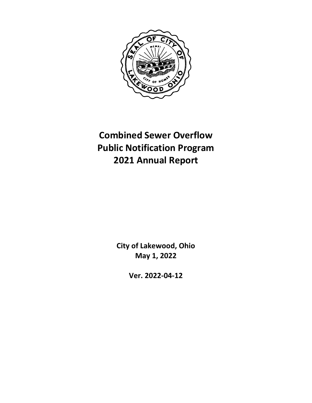

# **Combined Sewer Overflow Public Notification Program 2021 Annual Report**

**City of Lakewood, Ohio May 1, 2022**

**Ver. 2022-04-12**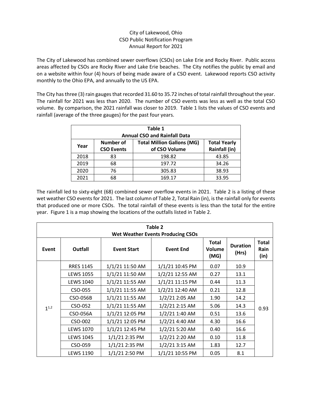# City of Lakewood, Ohio CSO Public Notification Program Annual Report for 2021

The City of Lakewood has combined sewer overflows (CSOs) on Lake Erie and Rocky River. Public access areas affected by CSOs are Rocky River and Lake Erie beaches. The City notifies the public by email and on a website within four (4) hours of being made aware of a CSO event. Lakewood reports CSO activity monthly to the Ohio EPA, and annually to the US EPA.

The City has three (3) rain gauges that recorded 31.60 to 35.72 inches of total rainfall throughout the year. The rainfall for 2021 was less than 2020. The number of CSO events was less as well as the total CSO volume. By comparison, the 2021 rainfall was closer to 2019. Table 1 lists the values of CSO events and rainfall (average of the three gauges) for the past four years.

| Table 1<br><b>Annual CSO and Rainfall Data</b> |                   |                                   |                      |  |  |
|------------------------------------------------|-------------------|-----------------------------------|----------------------|--|--|
| Year                                           | Number of         | <b>Total Million Gallons (MG)</b> | <b>Total Yearly</b>  |  |  |
|                                                | <b>CSO Events</b> | of CSO Volume                     | <b>Rainfall (in)</b> |  |  |
| 2018                                           | 83                | 198.82                            | 43.85                |  |  |
| 2019                                           | 68                | 197.72                            | 34.26                |  |  |
| 2020                                           | 76                | 305.83                            | 38.93                |  |  |
| 2021                                           | 68                | 169.17                            | 33.95                |  |  |

The rainfall led to sixty-eight (68) combined sewer overflow events in 2021. Table 2 is a listing of these wet weather CSO events for 2021. The last column of Table 2, Total Rain (in), is the rainfall only for events that produced one or more CSOs. The total rainfall of these events is less than the total for the entire year. Figure 1 is a map showing the locations of the outfalls listed in Table 2.

| Table 2<br><b>Wet Weather Events Producing CSOs</b> |                  |                    |                  |                                |                          |                              |  |
|-----------------------------------------------------|------------------|--------------------|------------------|--------------------------------|--------------------------|------------------------------|--|
| Event                                               | <b>Outfall</b>   | <b>Event Start</b> | <b>Event End</b> | <b>Total</b><br>Volume<br>(MG) | <b>Duration</b><br>(Hrs) | <b>Total</b><br>Rain<br>(in) |  |
|                                                     | <b>RRES 1145</b> | 1/1/21 11:50 AM    | 1/1/21 10:45 PM  | 0.07                           | 10.9                     |                              |  |
|                                                     | <b>LEWS 1055</b> | 1/1/21 11:50 AM    | 1/2/21 12:55 AM  | 0.27                           | 13.1                     |                              |  |
|                                                     | <b>LEWS 1040</b> | 1/1/21 11:55 AM    | 1/1/21 11:15 PM  | 0.44                           | 11.3                     |                              |  |
|                                                     | CSO-055          | 1/1/21 11:55 AM    | 1/2/21 12:40 AM  | 0.21                           | 12.8                     |                              |  |
|                                                     | <b>CSO-056B</b>  | 1/1/21 11:55 AM    | 1/2/21 2:05 AM   | 1.90                           | 14.2                     |                              |  |
| $1^{1,2}$                                           | CSO-052          | 1/1/21 11:55 AM    | 1/2/21 2:15 AM   | 5.06                           | 14.3                     | 0.93                         |  |
|                                                     | CSO-056A         | 1/1/21 12:05 PM    | 1/2/21 1:40 AM   | 0.51                           | 13.6                     |                              |  |
|                                                     | CSO-002          | 1/1/21 12:05 PM    | 1/2/21 4:40 AM   | 4.30                           | 16.6                     |                              |  |
|                                                     | <b>LEWS 1070</b> | 1/1/21 12:45 PM    | $1/2/21$ 5:20 AM | 0.40                           | 16.6                     |                              |  |
|                                                     | <b>LEWS 1045</b> | 1/1/21 2:35 PM     | 1/2/21 2:20 AM   | 0.10                           | 11.8                     |                              |  |
|                                                     | CSO-059          | 1/1/21 2:35 PM     | $1/2/21$ 3:15 AM | 1.83                           | 12.7                     |                              |  |
|                                                     | <b>LEWS 1190</b> | 1/1/21 2:50 PM     | 1/1/21 10:55 PM  | 0.05                           | 8.1                      |                              |  |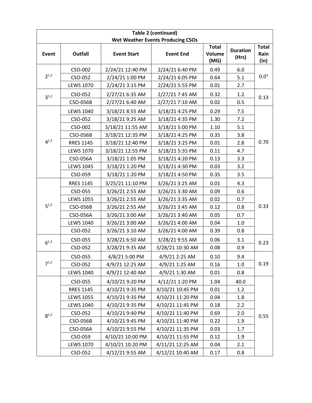|           | Table 2 (continued) |                    |                                          |                                |                          |                              |  |  |
|-----------|---------------------|--------------------|------------------------------------------|--------------------------------|--------------------------|------------------------------|--|--|
|           |                     |                    | <b>Wet Weather Events Producing CSOs</b> |                                |                          |                              |  |  |
| Event     | <b>Outfall</b>      | <b>Event Start</b> | <b>Event End</b>                         | <b>Total</b><br>Volume<br>(MG) | <b>Duration</b><br>(Hrs) | <b>Total</b><br>Rain<br>(in) |  |  |
|           | CSO-002             | 2/24/21 12:40 PM   | 2/24/21 6:40 PM                          | 0.49                           | 6.0                      |                              |  |  |
| $2^{1,2}$ | CSO-052             | 2/24/21 1:00 PM    | 2/24/21 6:05 PM                          | 0.64                           | 5.1                      | 0.0 <sup>3</sup>             |  |  |
|           | <b>LEWS 1070</b>    | 2/24/21 3:15 PM    | 2/24/21 5:55 PM                          | 0.01                           | 2.7                      |                              |  |  |
| $3^{1,2}$ | CSO-052             | 2/27/21 6:35 AM    | 2/27/21 7:45 AM                          | 0.32                           | 1.2                      | 0.13                         |  |  |
|           | <b>CSO-056B</b>     | 2/27/21 6:40 AM    | 2/27/21 7:10 AM                          | 0.02                           | 0.5                      |                              |  |  |
|           | <b>LEWS 1040</b>    | 3/18/21 8:55 AM    | 3/18/21 4:25 PM                          | 0.29                           | 7.5                      |                              |  |  |
|           | CSO-052             | 3/18/21 9:25 AM    | 3/18/21 4:35 PM                          | 1.30                           | 7.2                      |                              |  |  |
|           | CSO-002             | 3/18/21 11:55 AM   | 3/18/21 5:00 PM                          | 1.10                           | 5.1                      |                              |  |  |
|           | CSO-056B            | 3/18/21 12:35 PM   | 3/18/21 4:25 PM                          | 0.35                           | 3.8                      |                              |  |  |
| $4^{1,2}$ | <b>RRES 1145</b>    | 3/18/21 12:40 PM   | 3/18/21 3:25 PM                          | 0.01                           | 2.8                      | 0.70                         |  |  |
|           | <b>LEWS 1070</b>    | 3/18/21 12:55 PM   | 3/18/21 5:35 PM                          | 0.11                           | 4.7                      |                              |  |  |
|           | CSO-056A            | 3/18/21 1:05 PM    | 3/18/21 4:20 PM                          | 0.13                           | 3.3                      |                              |  |  |
|           | <b>LEWS 1045</b>    | 3/18/21 1:20 PM    | 3/18/21 4:30 PM                          | 0.03                           | 3.2                      |                              |  |  |
|           | CSO-059             | 3/18/21 1:20 PM    | 3/18/21 4:50 PM                          | 0.35                           | 3.5                      |                              |  |  |
|           | <b>RRES 1145</b>    | 3/25/21 11:10 PM   | 3/26/21 3:25 AM                          | 0.01                           | 4.3                      |                              |  |  |
|           | CSO-055             | 3/26/21 2:55 AM    | 3/26/21 3:30 AM                          | 0.09                           | 0.6                      |                              |  |  |
|           | <b>LEWS 1055</b>    | 3/26/21 2:55 AM    | 3/26/21 3:35 AM                          | 0.02                           | 0.7                      | 0.33                         |  |  |
| $5^{1,2}$ | <b>CSO-056B</b>     | 3/26/21 2:55 AM    | 3/26/21 3:45 AM                          | 0.12                           | 0.8                      |                              |  |  |
|           | CSO-056A            | 3/26/21 3:00 AM    | 3/26/21 3:40 AM                          | 0.05                           | 0.7                      |                              |  |  |
|           | <b>LEWS 1040</b>    | 3/26/21 3:00 AM    | 3/26/21 4:00 AM                          | 0.04                           | 1.0                      |                              |  |  |
|           | CSO-052             | 3/26/21 3:10 AM    | 3/26/21 4:00 AM                          | 0.39                           | 0.8                      |                              |  |  |
| $6^{1,2}$ | CSO-055             | 3/28/21 6:50 AM    | 3/28/21 9:55 AM                          | 0.06                           | 3.1                      | 0.23                         |  |  |
|           | CSO-052             | 3/28/21 9:35 AM    | 3/28/21 10:30 AM                         | 0.08                           | 0.9                      |                              |  |  |
|           | CSO-055             | 4/8/21 5:00 PM     | 4/9/21 2:25 AM                           | 0.10                           | 9.4                      |                              |  |  |
| $7^{1,2}$ | CSO-052             | 4/9/21 12:25 AM    | 4/9/21 1:25 AM                           | 0.16                           | 1.0                      | 0.19                         |  |  |
|           | <b>LEWS 1040</b>    | 4/9/21 12:40 AM    | 4/9/21 1:30 AM                           | 0.01                           | 0.8                      |                              |  |  |
|           | CSO-055             | 4/10/21 9:20 PM    | 4/12/21 1:20 PM                          | 1.04                           | 40.0                     |                              |  |  |
|           | <b>RRES 1145</b>    | 4/10/21 9:35 PM    | 4/10/21 10:45 PM                         | 0.01                           | 1.2                      |                              |  |  |
|           | <b>LEWS 1055</b>    | 4/10/21 9:35 PM    | 4/10/21 11:20 PM                         | 0.04                           | 1.8                      |                              |  |  |
|           | <b>LEWS 1040</b>    | 4/10/21 9:35 PM    | 4/10/21 11:45 PM                         | 0.18                           | 2.2                      |                              |  |  |
| $8^{1,2}$ | CSO-052             | 4/10/21 9:40 PM    | 4/10/21 11:40 PM                         | 0.69                           | 2.0                      | 0.55                         |  |  |
|           | CSO-056B            | 4/10/21 9:45 PM    | 4/10/21 11:40 PM                         | 0.22                           | 1.9                      |                              |  |  |
|           | CSO-056A            | 4/10/21 9:55 PM    | 4/10/21 11:35 PM                         | 0.03                           | 1.7                      |                              |  |  |
|           | CSO-059             | 4/10/21 10:00 PM   | 4/10/21 11:55 PM                         | 0.12                           | 1.9                      |                              |  |  |
|           | <b>LEWS 1070</b>    | 4/10/21 10:20 PM   | 4/11/21 12:25 AM                         | 0.04                           | 2.1                      |                              |  |  |
|           | CSO-052             | 4/12/21 9:55 AM    | 4/12/21 10:40 AM                         | 0.17                           | 0.8                      |                              |  |  |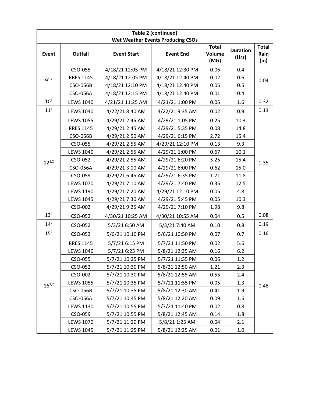|                 |                  |                    | <b>Table 2 (continued)</b><br><b>Wet Weather Events Producing CSOs</b> |                                |                          |                              |
|-----------------|------------------|--------------------|------------------------------------------------------------------------|--------------------------------|--------------------------|------------------------------|
| Event           | <b>Outfall</b>   | <b>Event Start</b> | <b>Event End</b>                                                       | <b>Total</b><br>Volume<br>(MG) | <b>Duration</b><br>(Hrs) | <b>Total</b><br>Rain<br>(in) |
|                 | CSO-055          | 4/18/21 12:05 PM   | 4/18/21 12:30 PM                                                       | 0.06                           | 0.4                      |                              |
| $9^{1,2}$       | <b>RRES 1145</b> | 4/18/21 12:05 PM   | 4/18/21 12:40 PM                                                       | 0.02                           | 0.6                      | 0.04                         |
|                 | CSO-056B         | 4/18/21 12:10 PM   | 4/18/21 12:40 PM                                                       | 0.05                           | 0.5                      |                              |
|                 | CSO-056A         | 4/18/21 12:15 PM   | 4/18/21 12:40 PM                                                       | 0.01                           | 0.4                      |                              |
| 10 <sup>1</sup> | <b>LEWS 1040</b> | 4/21/21 11:25 AM   | 4/21/21 1:00 PM                                                        | 0.05                           | 1.6                      | 0.32                         |
| $11^{1}$        | <b>LEWS 1040</b> | 4/22/21 8:40 AM    | 4/22/21 9:35 AM                                                        | 0.02                           | 0.9                      | 0.13                         |
|                 | <b>LEWS 1055</b> | 4/29/21 2:45 AM    | 4/29/21 1:05 PM                                                        | 0.25                           | 10.3                     |                              |
|                 | <b>RRES 1145</b> | 4/29/21 2:45 AM    | 4/29/21 5:35 PM                                                        | 0.08                           | 14.8                     |                              |
|                 | <b>CSO-056B</b>  | 4/29/21 2:50 AM    | 4/29/21 6:15 PM                                                        | 2.72                           | 15.4                     |                              |
|                 | CSO-055          | 4/29/21 2:55 AM    | 4/29/21 12:10 PM                                                       | 0.13                           | 9.3                      |                              |
|                 | <b>LEWS 1040</b> | 4/29/21 2:55 AM    | 4/29/21 1:00 PM                                                        | 0.67                           | 10.1                     | 1.35                         |
| $12^{1,2}$      | CSO-052          | 4/29/21 2:55 AM    | 4/29/21 6:20 PM                                                        | 5.25                           | 15.4                     |                              |
|                 | CSO-056A         | 4/29/21 3:00 AM    | 4/29/21 6:00 PM                                                        | 0.62                           | 15.0                     |                              |
|                 | CSO-059          | 4/29/21 6:45 AM    | 4/29/21 6:35 PM                                                        | 1.71                           | 11.8                     |                              |
|                 | <b>LEWS 1070</b> | 4/29/21 7:10 AM    | 4/29/21 7:40 PM                                                        | 0.35                           | 12.5                     |                              |
|                 | <b>LEWS 1190</b> | 4/29/21 7:20 AM    | 4/29/21 12:10 PM                                                       | 0.05                           | 4.8                      |                              |
|                 | <b>LEWS 1045</b> | 4/29/21 7:30 AM    | 4/29/21 5:45 PM                                                        | 0.05                           | 10.3                     |                              |
|                 | CSO-002          | 4/29/21 9:25 AM    | 4/29/21 7:10 PM                                                        | 1.98                           | 9.8                      |                              |
| $13^{2}$        | CSO-052          | 4/30/21 10:25 AM   | 4/30/21 10:55 AM                                                       | 0.04                           | 0.5                      | 0.08                         |
| $14^{2}$        | CSO-052          | 5/3/21 6:50 AM     | 5/3/21 7:40 AM                                                         | 0.10                           | 0.8                      | 0.19                         |
| 15 <sup>2</sup> | CSO-052          | 5/6/21 10:10 PM    | 5/6/21 10:50 PM                                                        | 0.07                           | 0.7                      | 0.16                         |
|                 | <b>RRES 1145</b> | 5/7/21 6:15 PM     | 5/7/21 11:50 PM                                                        | 0.02                           | 5.6                      |                              |
|                 | <b>LEWS 1040</b> | 5/7/21 6:25 PM     | 5/8/21 12:35 AM                                                        | 0.16                           | 6.2                      |                              |
|                 | CSO-055          | 5/7/21 10:25 PM    | 5/7/21 11:35 PM                                                        | 0.06                           | 1.2                      |                              |
|                 | CSO-052          | 5/7/21 10:30 PM    | 5/8/21 12:50 AM                                                        | 1.21                           | 2.3                      |                              |
|                 | CSO-002          | 5/7/21 10:30 PM    | 5/8/21 12:55 AM                                                        | 0.55                           | 2.4                      |                              |
| $16^{1,2}$      | <b>LEWS 1055</b> | 5/7/21 10:35 PM    | 5/7/21 11:55 PM                                                        | 0.05                           | 1.3                      | 0.48                         |
|                 | CSO-056B         | 5/7/21 10:35 PM    | 5/8/21 12:30 AM                                                        | 0.41                           | 1.9                      |                              |
|                 | CSO-056A         | 5/7/21 10:45 PM    | 5/8/21 12:20 AM                                                        | 0.09                           | 1.6                      |                              |
|                 | <b>LEWS 1130</b> | 5/7/21 10:55 PM    | 5/7/21 11:40 PM                                                        | 0.02                           | 0.8                      |                              |
|                 | CSO-059          | 5/7/21 10:55 PM    | 5/8/21 12:45 AM                                                        | 0.14                           | 1.8                      |                              |
|                 | <b>LEWS 1070</b> | 5/7/21 11:20 PM    | 5/8/21 1:25 AM                                                         | 0.04                           | 2.1                      |                              |
|                 | <b>LEWS 1045</b> | 5/7/21 11:25 PM    | 5/8/21 12:25 AM                                                        | 0.01                           | 1.0                      |                              |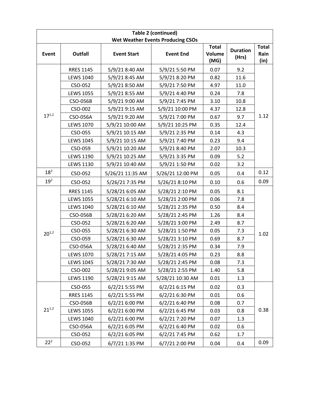|                 |                  |                    | <b>Table 2 (continued)</b>               |                                       |                          |                              |
|-----------------|------------------|--------------------|------------------------------------------|---------------------------------------|--------------------------|------------------------------|
|                 |                  |                    | <b>Wet Weather Events Producing CSOs</b> |                                       |                          |                              |
| Event           | <b>Outfall</b>   | <b>Event Start</b> | <b>Event End</b>                         | <b>Total</b><br><b>Volume</b><br>(MG) | <b>Duration</b><br>(Hrs) | <b>Total</b><br>Rain<br>(in) |
|                 | <b>RRES 1145</b> | 5/9/21 8:40 AM     | 5/9/21 5:50 PM                           | 0.07                                  | 9.2                      |                              |
|                 | <b>LEWS 1040</b> | 5/9/21 8:45 AM     | 5/9/21 8:20 PM                           | 0.82                                  | 11.6                     |                              |
|                 | CSO-052          | 5/9/21 8:50 AM     | 5/9/21 7:50 PM                           | 4.97                                  | 11.0                     |                              |
|                 | <b>LEWS 1055</b> | 5/9/21 8:55 AM     | 5/9/21 4:40 PM                           | 0.24                                  | 7.8                      |                              |
|                 | CSO-056B         | 5/9/21 9:00 AM     | 5/9/21 7:45 PM                           | 3.10                                  | 10.8                     |                              |
|                 | CSO-002          | 5/9/21 9:15 AM     | 5/9/21 10:00 PM                          | 4.37                                  | 12.8                     |                              |
| $17^{1,2}$      | CSO-056A         | 5/9/21 9:20 AM     | 5/9/21 7:00 PM                           | 0.67                                  | 9.7                      | 1.12                         |
|                 | <b>LEWS 1070</b> | 5/9/21 10:00 AM    | 5/9/21 10:25 PM                          | 0.35                                  | 12.4                     |                              |
|                 | CSO-055          | 5/9/21 10:15 AM    | 5/9/21 2:35 PM                           | 0.14                                  | 4.3                      |                              |
|                 | <b>LEWS 1045</b> | 5/9/21 10:15 AM    | 5/9/21 7:40 PM                           | 0.23                                  | 9.4                      |                              |
|                 | CSO-059          | 5/9/21 10:20 AM    | 5/9/21 8:40 PM                           | 2.07                                  | 10.3                     |                              |
|                 | <b>LEWS 1190</b> | 5/9/21 10:25 AM    | 5/9/21 3:35 PM                           | 0.09                                  | 5.2                      |                              |
|                 | <b>LEWS 1130</b> | 5/9/21 10:40 AM    | 5/9/21 1:50 PM                           | 0.02                                  | 3.2                      |                              |
| $18^{2}$        | CSO-052          | 5/26/21 11:35 AM   | 5/26/21 12:00 PM                         | 0.05                                  | 0.4                      | 0.12                         |
| 19 <sup>2</sup> | CSO-052          | 5/26/21 7:35 PM    | 5/26/21 8:10 PM                          | 0.10                                  | 0.6                      | 0.09                         |
|                 | <b>RRES 1145</b> | 5/28/21 6:05 AM    | 5/28/21 2:10 PM                          | 0.05                                  | 8.1                      |                              |
|                 | <b>LEWS 1055</b> | 5/28/21 6:10 AM    | 5/28/21 2:00 PM                          | 0.06                                  | 7.8                      |                              |
|                 | <b>LEWS 1040</b> | 5/28/21 6:10 AM    | 5/28/21 2:35 PM                          | 0.50                                  | 8.4                      |                              |
|                 | CSO-056B         | 5/28/21 6:20 AM    | 5/28/21 2:45 PM                          | 1.26                                  | 8.4                      |                              |
|                 | CSO-052          | 5/28/21 6:20 AM    | 5/28/21 3:00 PM                          | 2.49                                  | 8.7                      |                              |
| $20^{1,2}$      | CSO-055          | 5/28/21 6:30 AM    | 5/28/21 1:50 PM                          | 0.05                                  | 7.3                      | 1.02                         |
|                 | CSO-059          | 5/28/21 6:30 AM    | 5/28/21 3:10 PM                          | 0.69                                  | 8.7                      |                              |
|                 | CSO-056A         | 5/28/21 6:40 AM    | 5/28/21 2:35 PM                          | 0.34                                  | 7.9                      |                              |
|                 | <b>LEWS 1070</b> | 5/28/21 7:15 AM    | 5/28/21 4:05 PM                          | 0.23                                  | 8.8                      |                              |
|                 | <b>LEWS 1045</b> | 5/28/21 7:30 AM    | 5/28/21 2:45 PM                          | 0.08                                  | 7.3                      |                              |
|                 | CSO-002          | 5/28/21 9:05 AM    | 5/28/21 2:55 PM                          | 1.40                                  | 5.8                      |                              |
|                 | <b>LEWS 1190</b> | 5/28/21 9:15 AM    | 5/28/21 10:30 AM                         | 0.01                                  | 1.3                      |                              |
|                 | CSO-055          | 6/2/21 5:55 PM     | 6/2/21 6:15 PM                           | 0.02                                  | 0.3                      |                              |
|                 | <b>RRES 1145</b> | 6/2/21 5:55 PM     | 6/2/21 6:30 PM                           | 0.01                                  | 0.6                      |                              |
|                 | CSO-056B         | 6/2/21 6:00 PM     | 6/2/21 6:40 PM                           | 0.08                                  | 0.7                      |                              |
| $21^{1,2}$      | <b>LEWS 1055</b> | 6/2/21 6:00 PM     | 6/2/21 6:45 PM                           | 0.03                                  | 0.8                      | 0.38                         |
|                 | <b>LEWS 1040</b> | 6/2/21 6:00 PM     | 6/2/217:20 PM                            | 0.07                                  | 1.3                      |                              |
|                 | CSO-056A         | 6/2/21 6:05 PM     | 6/2/21 6:40 PM                           | 0.02                                  | 0.6                      |                              |
|                 | CSO-052          | 6/2/21 6:05 PM     | 6/2/21 7:45 PM                           | 0.62                                  | 1.7                      |                              |
| $22^{2}$        | CSO-052          | 6/7/21 1:35 PM     | 6/7/21 2:00 PM                           | 0.04                                  | 0.4                      | 0.09                         |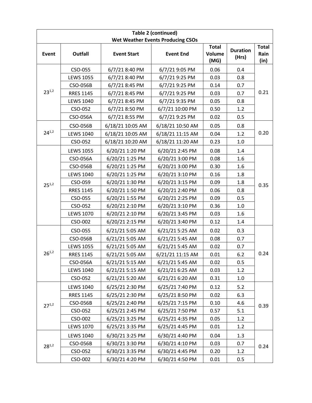|            |                  |                    | <b>Table 2 (continued)</b><br><b>Wet Weather Events Producing CSOs</b> |                                       |                          |                              |
|------------|------------------|--------------------|------------------------------------------------------------------------|---------------------------------------|--------------------------|------------------------------|
| Event      | <b>Outfall</b>   | <b>Event Start</b> | <b>Event End</b>                                                       | <b>Total</b><br><b>Volume</b><br>(MG) | <b>Duration</b><br>(Hrs) | <b>Total</b><br>Rain<br>(in) |
|            | CSO-055          | 6/7/21 8:40 PM     | 6/7/219:05 PM                                                          | 0.06                                  | 0.4                      |                              |
|            | <b>LEWS 1055</b> | 6/7/21 8:40 PM     | 6/7/219:25 PM                                                          | 0.03                                  | 0.8                      |                              |
|            | CSO-056B         | 6/7/21 8:45 PM     | 6/7/219:25 PM                                                          | 0.14                                  | 0.7                      |                              |
| $23^{1,2}$ | <b>RRES 1145</b> | 6/7/21 8:45 PM     | 6/7/219:25 PM                                                          | 0.03                                  | 0.7                      | 0.21                         |
|            | <b>LEWS 1040</b> | 6/7/21 8:45 PM     | 6/7/219:35 PM                                                          | 0.05                                  | 0.8                      |                              |
|            | CSO-052          | 6/7/218:50 PM      | 6/7/21 10:00 PM                                                        | 0.50                                  | 1.2                      |                              |
|            | CSO-056A         | 6/7/21 8:55 PM     | 6/7/219:25 PM                                                          | 0.02                                  | 0.5                      |                              |
|            | <b>CSO-056B</b>  | 6/18/21 10:05 AM   | 6/18/21 10:50 AM                                                       | 0.05                                  | 0.8                      |                              |
| $24^{1,2}$ | <b>LEWS 1040</b> | 6/18/21 10:05 AM   | 6/18/21 11:15 AM                                                       | 0.04                                  | 1.2                      | 0.20                         |
|            | CSO-052          | 6/18/21 10:20 AM   | 6/18/21 11:20 AM                                                       | 0.23                                  | 1.0                      |                              |
| $25^{1,2}$ | <b>LEWS 1055</b> | 6/20/21 1:20 PM    | 6/20/21 2:45 PM                                                        | 0.08                                  | 1.4                      |                              |
|            | CSO-056A         | 6/20/21 1:25 PM    | 6/20/21 3:00 PM                                                        | 0.08                                  | 1.6                      |                              |
|            | <b>CSO-056B</b>  | 6/20/21 1:25 PM    | 6/20/21 3:00 PM                                                        | 0.30                                  | 1.6                      |                              |
|            | <b>LEWS 1040</b> | 6/20/21 1:25 PM    | 6/20/21 3:10 PM                                                        | 0.16                                  | 1.8                      |                              |
|            | CSO-059          | 6/20/21 1:30 PM    | 6/20/21 3:15 PM                                                        | 0.09                                  | 1.8                      | 0.35                         |
|            | <b>RRES 1145</b> | 6/20/21 1:50 PM    | 6/20/21 2:40 PM                                                        | 0.06                                  | 0.8                      |                              |
|            | CSO-055          | 6/20/21 1:55 PM    | 6/20/21 2:25 PM                                                        | 0.09                                  | 0.5                      |                              |
|            | CSO-052          | 6/20/21 2:10 PM    | 6/20/21 3:10 PM                                                        | 0.36                                  | 1.0                      |                              |
|            | <b>LEWS 1070</b> | 6/20/21 2:10 PM    | 6/20/21 3:45 PM                                                        | 0.03                                  | 1.6                      |                              |
|            | CSO-002          | 6/20/21 2:15 PM    | 6/20/21 3:40 PM                                                        | 0.12                                  | 1.4                      |                              |
|            | CSO-055          | 6/21/21 5:05 AM    | 6/21/21 5:25 AM                                                        | 0.02                                  | 0.3                      |                              |
|            | CSO-056B         | 6/21/21 5:05 AM    | 6/21/21 5:45 AM                                                        | 0.08                                  | 0.7                      |                              |
|            | <b>LEWS 1055</b> | 6/21/21 5:05 AM    | 6/21/21 5:45 AM                                                        | 0.02                                  | 0.7                      |                              |
| $26^{1,2}$ | <b>RRES 1145</b> | 6/21/21 5:05 AM    | 6/21/21 11:15 AM                                                       | 0.01                                  | 6.2                      | 0.24                         |
|            | CSO-056A         | 6/21/21 5:15 AM    | 6/21/21 5:45 AM                                                        | 0.02                                  | 0.5                      |                              |
|            | <b>LEWS 1040</b> | 6/21/21 5:15 AM    | 6/21/21 6:25 AM                                                        | 0.03                                  | 1.2                      |                              |
|            | CSO-052          | 6/21/21 5:20 AM    | 6/21/21 6:20 AM                                                        | 0.31                                  | 1.0                      |                              |
|            | <b>LEWS 1040</b> | 6/25/21 2:30 PM    | 6/25/21 7:40 PM                                                        | 0.12                                  | 5.2                      |                              |
|            | <b>RRES 1145</b> | 6/25/21 2:30 PM    | 6/25/21 8:50 PM                                                        | 0.02                                  | 6.3                      |                              |
| $27^{1,2}$ | CSO-056B         | 6/25/21 2:40 PM    | 6/25/21 7:15 PM                                                        | 0.10                                  | 4.6                      | 0.39                         |
|            | CSO-052          | 6/25/21 2:45 PM    | 6/25/21 7:50 PM                                                        | 0.57                                  | 5.1                      |                              |
|            | CSO-002          | 6/25/21 3:25 PM    | 6/25/21 4:35 PM                                                        | 0.05                                  | 1.2                      |                              |
|            | <b>LEWS 1070</b> | 6/25/21 3:35 PM    | 6/25/21 4:45 PM                                                        | 0.01                                  | 1.2                      |                              |
|            | <b>LEWS 1040</b> | 6/30/21 3:25 PM    | 6/30/21 4:40 PM                                                        | 0.04                                  | 1.3                      |                              |
| $28^{1,2}$ | CSO-056B         | 6/30/21 3:30 PM    | 6/30/21 4:10 PM                                                        | 0.03                                  | 0.7                      | 0.24                         |
|            | CSO-052          | 6/30/21 3:35 PM    | 6/30/21 4:45 PM                                                        | 0.20                                  | 1.2                      |                              |
|            | CSO-002          | 6/30/21 4:20 PM    | 6/30/21 4:50 PM                                                        | 0.01                                  | 0.5                      |                              |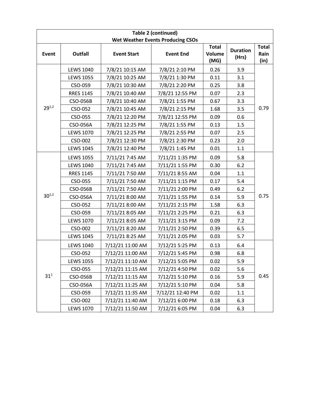|            | <b>Table 2 (continued)</b> |                    |                                          |                                       |                          |                              |  |  |
|------------|----------------------------|--------------------|------------------------------------------|---------------------------------------|--------------------------|------------------------------|--|--|
|            |                            |                    | <b>Wet Weather Events Producing CSOs</b> |                                       |                          |                              |  |  |
| Event      | <b>Outfall</b>             | <b>Event Start</b> | <b>Event End</b>                         | <b>Total</b><br><b>Volume</b><br>(MG) | <b>Duration</b><br>(Hrs) | <b>Total</b><br>Rain<br>(in) |  |  |
|            | <b>LEWS 1040</b>           | 7/8/21 10:15 AM    | 7/8/21 2:10 PM                           | 0.26                                  | 3.9                      |                              |  |  |
|            | <b>LEWS 1055</b>           | 7/8/21 10:25 AM    | 7/8/21 1:30 PM                           | 0.11                                  | 3.1                      |                              |  |  |
|            | CSO-059                    | 7/8/21 10:30 AM    | 7/8/21 2:20 PM                           | 0.25                                  | 3.8                      |                              |  |  |
|            | <b>RRES 1145</b>           | 7/8/21 10:40 AM    | 7/8/21 12:55 PM                          | 0.07                                  | 2.3                      |                              |  |  |
|            | CSO-056B                   | 7/8/21 10:40 AM    | 7/8/21 1:55 PM                           | 0.67                                  | 3.3                      |                              |  |  |
| $29^{1,2}$ | CSO-052                    | 7/8/21 10:45 AM    | 7/8/21 2:15 PM                           | 1.68                                  | 3.5                      | 0.79                         |  |  |
|            | CSO-055                    | 7/8/21 12:20 PM    | 7/8/21 12:55 PM                          | 0.09                                  | 0.6                      |                              |  |  |
|            | CSO-056A                   | 7/8/21 12:25 PM    | 7/8/21 1:55 PM                           | 0.13                                  | 1.5                      |                              |  |  |
|            | <b>LEWS 1070</b>           | 7/8/21 12:25 PM    | 7/8/21 2:55 PM                           | 0.07                                  | 2.5                      |                              |  |  |
|            | CSO-002                    | 7/8/21 12:30 PM    | 7/8/21 2:30 PM                           | 0.23                                  | 2.0                      |                              |  |  |
|            | <b>LEWS 1045</b>           | 7/8/21 12:40 PM    | 7/8/21 1:45 PM                           | 0.01                                  | 1.1                      |                              |  |  |
|            | <b>LEWS 1055</b>           | 7/11/21 7:45 AM    | 7/11/21 1:35 PM                          | 0.09                                  | 5.8                      |                              |  |  |
|            | <b>LEWS 1040</b>           | 7/11/21 7:45 AM    | 7/11/21 1:55 PM                          | 0.30                                  | 6.2                      |                              |  |  |
|            | <b>RRES 1145</b>           | 7/11/21 7:50 AM    | 7/11/21 8:55 AM                          | 0.04                                  | 1.1                      |                              |  |  |
|            | CSO-055                    | 7/11/21 7:50 AM    | 7/11/21 1:15 PM                          | 0.17                                  | 5.4                      |                              |  |  |
|            | CSO-056B                   | 7/11/21 7:50 AM    | 7/11/21 2:00 PM                          | 0.49                                  | 6.2                      | 0.75                         |  |  |
| $30^{1,2}$ | CSO-056A                   | 7/11/21 8:00 AM    | 7/11/21 1:55 PM                          | 0.14                                  | 5.9                      |                              |  |  |
|            | CSO-052                    | 7/11/21 8:00 AM    | 7/11/21 2:15 PM                          | 1.58                                  | 6.3                      |                              |  |  |
|            | CSO-059                    | 7/11/21 8:05 AM    | 7/11/21 2:25 PM                          | 0.21                                  | 6.3                      |                              |  |  |
|            | <b>LEWS 1070</b>           | 7/11/21 8:05 AM    | 7/11/21 3:15 PM                          | 0.09                                  | 7.2                      |                              |  |  |
|            | CSO-002                    | 7/11/21 8:20 AM    | 7/11/21 2:50 PM                          | 0.39                                  | 6.5                      |                              |  |  |
|            | <b>LEWS 1045</b>           | 7/11/21 8:25 AM    | 7/11/21 2:05 PM                          | 0.03                                  | 5.7                      |                              |  |  |
|            | <b>LEWS 1040</b>           | 7/12/21 11:00 AM   | 7/12/21 5:25 PM                          | 0.13                                  | 6.4                      |                              |  |  |
|            | CSO-052                    | 7/12/21 11:00 AM   | 7/12/21 5:45 PM                          | 0.98                                  | 6.8                      |                              |  |  |
|            | <b>LEWS 1055</b>           | 7/12/21 11:10 AM   | 7/12/21 5:05 PM                          | 0.02                                  | 5.9                      |                              |  |  |
|            | CSO-055                    | 7/12/21 11:15 AM   | 7/12/21 4:50 PM                          | 0.02                                  | 5.6                      |                              |  |  |
| $31^{1}$   | CSO-056B                   | 7/12/21 11:15 AM   | 7/12/21 5:10 PM                          | 0.16                                  | 5.9                      | 0.45                         |  |  |
|            | CSO-056A                   | 7/12/21 11:25 AM   | 7/12/21 5:10 PM                          | 0.04                                  | 5.8                      |                              |  |  |
|            | CSO-059                    | 7/12/21 11:35 AM   | 7/12/21 12:40 PM                         | 0.02                                  | 1.1                      |                              |  |  |
|            | CSO-002                    | 7/12/21 11:40 AM   | 7/12/21 6:00 PM                          | 0.18                                  | 6.3                      |                              |  |  |
|            | <b>LEWS 1070</b>           | 7/12/21 11:50 AM   | 7/12/21 6:05 PM                          | 0.04                                  | 6.3                      |                              |  |  |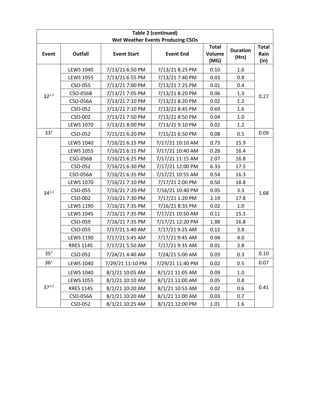|                 |                  |                    | <b>Table 2 (continued)</b><br><b>Wet Weather Events Producing CSOs</b> |                                       |                          |                              |
|-----------------|------------------|--------------------|------------------------------------------------------------------------|---------------------------------------|--------------------------|------------------------------|
| Event           | <b>Outfall</b>   | <b>Event Start</b> | <b>Event End</b>                                                       | <b>Total</b><br><b>Volume</b><br>(MG) | <b>Duration</b><br>(Hrs) | <b>Total</b><br>Rain<br>(in) |
|                 | <b>LEWS 1040</b> | 7/13/21 6:50 PM    | 7/13/21 8:25 PM                                                        | 0.10                                  | 1.6                      |                              |
|                 | <b>LEWS 1055</b> | 7/13/21 6:55 PM    | 7/13/21 7:40 PM                                                        | 0.03                                  | 0.8                      |                              |
|                 | CSO-055          | 7/13/21 7:00 PM    | 7/13/21 7:25 PM                                                        | 0.01                                  | 0.4                      |                              |
| $32^{1,2}$      | CSO-056B         | 7/13/21 7:05 PM    | 7/13/21 8:20 PM                                                        | 0.06                                  | 1.3                      | 0.27                         |
|                 | CSO-056A         | 7/13/21 7:10 PM    | 7/13/21 8:20 PM                                                        | 0.02                                  | 1.2                      |                              |
|                 | CSO-052          | 7/13/21 7:10 PM    | 7/13/21 8:45 PM                                                        | 0.69                                  | 1.6                      |                              |
|                 | CSO-002          | 7/13/21 7:50 PM    | 7/13/21 8:50 PM                                                        | 0.04                                  | 1.0                      |                              |
|                 | <b>LEWS 1070</b> | 7/13/21 8:00 PM    | 7/13/21 9:10 PM                                                        | 0.02                                  | 1.2                      |                              |
| 33 <sup>2</sup> | CSO-052          | 7/15/21 6:20 PM    | 7/15/21 6:50 PM                                                        | 0.08                                  | 0.5                      | 0.09                         |
|                 | <b>LEWS 1040</b> | 7/16/21 6:15 PM    | 7/17/21 10:10 AM                                                       | 0.73                                  | 15.9                     |                              |
|                 | <b>LEWS 1055</b> | 7/16/21 6:15 PM    | 7/17/21 10:40 AM                                                       | 0.28                                  | 16.4                     |                              |
|                 | CSO-056B         | 7/16/21 6:25 PM    | 7/17/21 11:15 AM                                                       | 2.07                                  | 16.8                     |                              |
|                 | CSO-052          | 7/16/21 6:30 PM    | 7/17/21 12:00 PM                                                       | 6.33                                  | 17.5                     |                              |
|                 | CSO-056A         | 7/16/21 6:35 PM    | 7/17/21 10:55 AM                                                       | 0.54                                  | 16.3                     | 1.68                         |
|                 | <b>LEWS 1070</b> | 7/16/21 7:10 PM    | 7/17/21 2:00 PM                                                        | 0.50                                  | 18.8                     |                              |
| $34^{1,2}$      | CSO-055          | 7/16/21 7:20 PM    | 7/16/21 10:40 PM                                                       | 0.05                                  | 3.3                      |                              |
|                 | CSO-002          | 7/16/21 7:30 PM    | 7/17/21 1:20 PM                                                        | 2.19                                  | 17.8                     |                              |
|                 | <b>LEWS 1190</b> | 7/16/21 7:35 PM    | 7/16/21 8:35 PM                                                        | 0.02                                  | 1.0                      |                              |
|                 | <b>LEWS 1045</b> | 7/16/21 7:35 PM    | 7/17/21 10:50 AM                                                       | 0.11                                  | 15.3                     |                              |
|                 | CSO-059          | 7/16/21 7:35 PM    | 7/17/21 12:20 PM                                                       | 1.88                                  | 16.8                     |                              |
|                 | CSO-055          | 7/17/21 5:40 AM    | 7/17/21 9:25 AM                                                        | 0.12                                  | 3.8                      |                              |
|                 | <b>LEWS 1190</b> | 7/17/21 5:45 AM    | 7/17/21 9:45 AM                                                        | 0.04                                  | 4.0                      |                              |
|                 | <b>RRES 1145</b> | 7/17/21 5:50 AM    | 7/17/21 9:35 AM                                                        | 0.01                                  | 3.8                      |                              |
| 35 <sup>2</sup> | CSO-052          | 7/24/21 4:40 AM    | 7/24/21 5:00 AM                                                        | 0.03                                  | 0.3                      | 0.10                         |
| 36 <sup>1</sup> | <b>LEWS 1040</b> | 7/29/21 11:10 PM   | 7/29/21 11:40 PM                                                       | 0.02                                  | 0.5                      | 0.07                         |
|                 | <b>LEWS 1040</b> | 8/1/21 10:05 AM    | 8/1/21 11:05 AM                                                        | 0.09                                  | 1.0                      |                              |
|                 | <b>LEWS 1055</b> | 8/1/21 10:10 AM    | 8/1/21 11:00 AM                                                        | 0.05                                  | 0.8                      | 0.41                         |
| $37^{1,2}$      | <b>RRES 1145</b> | 8/1/21 10:20 AM    | 8/1/21 10:55 AM                                                        | 0.02                                  | 0.6                      |                              |
|                 | CSO-056A         | 8/1/21 10:20 AM    | 8/1/21 11:00 AM                                                        | 0.03                                  | 0.7                      |                              |
|                 | CSO-052          | 8/1/21 10:25 AM    | 8/1/21 12:00 PM                                                        | 1.01                                  | 1.6                      |                              |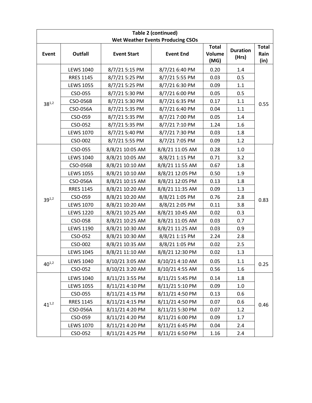|            | <b>Table 2 (continued)</b> |                    |                                          |                                       |                          |                              |  |
|------------|----------------------------|--------------------|------------------------------------------|---------------------------------------|--------------------------|------------------------------|--|
|            |                            |                    | <b>Wet Weather Events Producing CSOs</b> |                                       |                          |                              |  |
| Event      | <b>Outfall</b>             | <b>Event Start</b> | <b>Event End</b>                         | <b>Total</b><br><b>Volume</b><br>(MG) | <b>Duration</b><br>(Hrs) | <b>Total</b><br>Rain<br>(in) |  |
|            | <b>LEWS 1040</b>           | 8/7/21 5:15 PM     | 8/7/21 6:40 PM                           | 0.20                                  | 1.4                      |                              |  |
|            | <b>RRES 1145</b>           | 8/7/21 5:25 PM     | 8/7/21 5:55 PM                           | 0.03                                  | 0.5                      |                              |  |
|            | <b>LEWS 1055</b>           | 8/7/21 5:25 PM     | 8/7/21 6:30 PM                           | 0.09                                  | 1.1                      |                              |  |
|            | CSO-055                    | 8/7/21 5:30 PM     | 8/7/21 6:00 PM                           | 0.05                                  | 0.5                      |                              |  |
| $38^{1,2}$ | CSO-056B                   | 8/7/21 5:30 PM     | 8/7/21 6:35 PM                           | 0.17                                  | 1.1                      | 0.55                         |  |
|            | CSO-056A                   | 8/7/21 5:35 PM     | 8/7/21 6:40 PM                           | 0.04                                  | 1.1                      |                              |  |
|            | CSO-059                    | 8/7/21 5:35 PM     | 8/7/21 7:00 PM                           | 0.05                                  | 1.4                      |                              |  |
|            | CSO-052                    | 8/7/21 5:35 PM     | 8/7/21 7:10 PM                           | 1.24                                  | 1.6                      |                              |  |
|            | <b>LEWS 1070</b>           | 8/7/21 5:40 PM     | 8/7/21 7:30 PM                           | 0.03                                  | 1.8                      |                              |  |
|            | CSO-002                    | 8/7/21 5:55 PM     | 8/7/21 7:05 PM                           | 0.09                                  | 1.2                      |                              |  |
|            | CSO-055                    | 8/8/21 10:05 AM    | 8/8/21 11:05 AM                          | 0.28                                  | 1.0                      |                              |  |
|            | <b>LEWS 1040</b>           | 8/8/21 10:05 AM    | 8/8/21 1:15 PM                           | 0.71                                  | 3.2                      |                              |  |
|            | CSO-056B                   | 8/8/21 10:10 AM    | 8/8/21 11:55 AM                          | 0.67                                  | 1.8                      |                              |  |
|            | <b>LEWS 1055</b>           | 8/8/21 10:10 AM    | 8/8/21 12:05 PM                          | 0.50                                  | 1.9                      |                              |  |
|            | CSO-056A                   | 8/8/21 10:15 AM    | 8/8/21 12:05 PM                          | 0.13                                  | 1.8                      |                              |  |
|            | <b>RRES 1145</b>           | 8/8/21 10:20 AM    | 8/8/21 11:35 AM                          | 0.09                                  | 1.3                      |                              |  |
| $39^{1,2}$ | CSO-059                    | 8/8/21 10:20 AM    | 8/8/21 1:05 PM                           | 0.76                                  | 2.8                      | 0.83                         |  |
|            | <b>LEWS 1070</b>           | 8/8/21 10:20 AM    | 8/8/21 2:05 PM                           | 0.11                                  | 3.8                      |                              |  |
|            | <b>LEWS 1220</b>           | 8/8/21 10:25 AM    | 8/8/21 10:45 AM                          | 0.02                                  | 0.3                      |                              |  |
|            | CSO-058                    | 8/8/21 10:25 AM    | 8/8/21 11:05 AM                          | 0.03                                  | 0.7                      |                              |  |
|            | <b>LEWS 1190</b>           | 8/8/21 10:30 AM    | 8/8/21 11:25 AM                          | 0.03                                  | 0.9                      |                              |  |
|            | CSO-052                    | 8/8/21 10:30 AM    | 8/8/21 1:15 PM                           | 2.24                                  | 2.8                      |                              |  |
|            | CSO-002                    | 8/8/21 10:35 AM    | 8/8/21 1:05 PM                           | 0.02                                  | 2.5                      |                              |  |
|            | <b>LEWS 1045</b>           | 8/8/21 11:10 AM    | 8/8/21 12:30 PM                          | 0.02                                  | 1.3                      |                              |  |
| $40^{1,2}$ | <b>LEWS 1040</b>           | 8/10/21 3:05 AM    | 8/10/21 4:10 AM                          | 0.05                                  | 1.1                      | 0.25                         |  |
|            | CSO-052                    | 8/10/21 3:20 AM    | 8/10/21 4:55 AM                          | 0.56                                  | 1.6                      |                              |  |
|            | <b>LEWS 1040</b>           | 8/11/21 3:55 PM    | 8/11/21 5:45 PM                          | 0.14                                  | 1.8                      |                              |  |
|            | <b>LEWS 1055</b>           | 8/11/21 4:10 PM    | 8/11/21 5:10 PM                          | 0.09                                  | 1.0                      |                              |  |
|            | CSO-055                    | 8/11/21 4:15 PM    | 8/11/21 4:50 PM                          | 0.13                                  | 0.6                      |                              |  |
| $41^{1,2}$ | <b>RRES 1145</b>           | 8/11/21 4:15 PM    | 8/11/21 4:50 PM                          | 0.07                                  | 0.6                      |                              |  |
|            | CSO-056A                   | 8/11/21 4:20 PM    | 8/11/21 5:30 PM                          | 0.07                                  | 1.2                      | 0.46                         |  |
|            | CSO-059                    | 8/11/21 4:20 PM    | 8/11/21 6:00 PM                          | 0.09                                  | 1.7                      |                              |  |
|            | <b>LEWS 1070</b>           | 8/11/21 4:20 PM    | 8/11/21 6:45 PM                          | 0.04                                  | 2.4                      |                              |  |
|            | CSO-052                    | 8/11/21 4:25 PM    | 8/11/21 6:50 PM                          | 1.16                                  | 2.4                      |                              |  |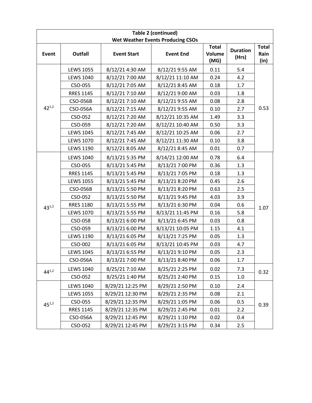|            |                  |                    | <b>Table 2 (continued)</b>               |                                       |                          |                              |
|------------|------------------|--------------------|------------------------------------------|---------------------------------------|--------------------------|------------------------------|
|            |                  |                    | <b>Wet Weather Events Producing CSOs</b> |                                       |                          |                              |
| Event      | <b>Outfall</b>   | <b>Event Start</b> | <b>Event End</b>                         | <b>Total</b><br><b>Volume</b><br>(MG) | <b>Duration</b><br>(Hrs) | <b>Total</b><br>Rain<br>(in) |
|            | <b>LEWS 1055</b> | 8/12/21 4:30 AM    | 8/12/21 9:55 AM                          | 0.11                                  | 5.4                      |                              |
|            | <b>LEWS 1040</b> | 8/12/21 7:00 AM    | 8/12/21 11:10 AM                         | 0.24                                  | 4.2                      |                              |
|            | CSO-055          | 8/12/21 7:05 AM    | 8/12/21 8:45 AM                          | 0.18                                  | 1.7                      |                              |
|            | <b>RRES 1145</b> | 8/12/21 7:10 AM    | 8/12/21 9:00 AM                          | 0.03                                  | 1.8                      |                              |
|            | CSO-056B         | 8/12/21 7:10 AM    | 8/12/21 9:55 AM                          | 0.08                                  | 2.8                      |                              |
| $42^{1,2}$ | CSO-056A         | 8/12/21 7:15 AM    | 8/12/21 9:55 AM                          | 0.10                                  | 2.7                      | 0.53                         |
|            | CSO-052          | 8/12/21 7:20 AM    | 8/12/21 10:35 AM                         | 1.49                                  | 3.3                      |                              |
|            | CSO-059          | 8/12/21 7:20 AM    | 8/12/21 10:40 AM                         | 0.50                                  | 3.3                      |                              |
|            | <b>LEWS 1045</b> | 8/12/21 7:45 AM    | 8/12/21 10:25 AM                         | 0.06                                  | 2.7                      |                              |
|            | <b>LEWS 1070</b> | 8/12/21 7:45 AM    | 8/12/21 11:30 AM                         | 0.10                                  | 3.8                      |                              |
|            | <b>LEWS 1190</b> | 8/12/21 8:05 AM    | 8/12/21 8:45 AM                          | 0.01                                  | 0.7                      |                              |
|            | <b>LEWS 1040</b> | 8/13/21 5:35 PM    | 8/14/21 12:00 AM                         | 0.78                                  | 6.4                      |                              |
|            | CSO-055          | 8/13/21 5:45 PM    | 8/13/21 7:00 PM                          | 0.36                                  | 1.3                      |                              |
|            | <b>RRES 1145</b> | 8/13/21 5:45 PM    | 8/13/21 7:05 PM                          | 0.18                                  | 1.3                      |                              |
|            | <b>LEWS 1055</b> | 8/13/21 5:45 PM    | 8/13/21 8:20 PM                          | 0.45                                  | 2.6                      |                              |
|            | CSO-056B         | 8/13/21 5:50 PM    | 8/13/21 8:20 PM                          | 0.63                                  | 2.5                      |                              |
|            | CSO-052          | 8/13/21 5:50 PM    | 8/13/21 9:45 PM                          | 4.03                                  | 3.9                      | 1.07                         |
| $43^{1,2}$ | <b>RRES 1180</b> | 8/13/21 5:55 PM    | 8/13/21 6:30 PM                          | 0.04                                  | 0.6                      |                              |
|            | <b>LEWS 1070</b> | 8/13/21 5:55 PM    | 8/13/21 11:45 PM                         | 0.16                                  | 5.8                      |                              |
|            | CSO-058          | 8/13/21 6:00 PM    | 8/13/21 6:45 PM                          | 0.03                                  | 0.8                      |                              |
|            | CSO-059          | 8/13/21 6:00 PM    | 8/13/21 10:05 PM                         | 1.15                                  | 4.1                      |                              |
|            | <b>LEWS 1190</b> | 8/13/21 6:05 PM    | 8/13/21 7:25 PM                          | 0.05                                  | 1.3                      |                              |
|            | CSO-002          | 8/13/21 6:05 PM    | 8/13/21 10:45 PM                         | 0.03                                  | 4.7                      |                              |
|            | <b>LEWS 1045</b> | 8/13/21 6:55 PM    | 8/13/21 9:10 PM                          | 0.05                                  | 2.3                      |                              |
|            | CSO-056A         | 8/13/21 7:00 PM    | 8/13/21 8:40 PM                          | 0.06                                  | 1.7                      |                              |
| $44^{1,2}$ | <b>LEWS 1040</b> | 8/25/21 7:10 AM    | 8/25/21 2:25 PM                          | 0.02                                  | 7.3                      | 0.32                         |
|            | CSO-052          | 8/25/21 1:40 PM    | 8/25/21 2:40 PM                          | 0.15                                  | 1.0                      |                              |
|            | <b>LEWS 1040</b> | 8/29/21 12:25 PM   | 8/29/21 2:50 PM                          | 0.10                                  | 2.4                      |                              |
|            | <b>LEWS 1055</b> | 8/29/21 12:30 PM   | 8/29/21 2:35 PM                          | 0.08                                  | 2.1                      |                              |
| $45^{1,2}$ | CSO-055          | 8/29/21 12:35 PM   | 8/29/21 1:05 PM                          | 0.06                                  | 0.5                      | 0.39                         |
|            | <b>RRES 1145</b> | 8/29/21 12:35 PM   | 8/29/21 2:45 PM                          | 0.01                                  | 2.2                      |                              |
|            | CSO-056A         | 8/29/21 12:45 PM   | 8/29/21 1:10 PM                          | 0.02                                  | 0.4                      |                              |
|            | CSO-052          | 8/29/21 12:45 PM   | 8/29/21 3:15 PM                          | 0.34                                  | 2.5                      |                              |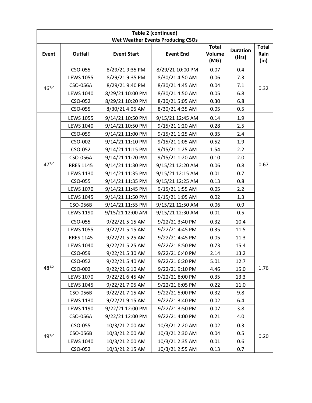|            |                  |                    | Table 2 (continued)                      |                                       |                          |                              |
|------------|------------------|--------------------|------------------------------------------|---------------------------------------|--------------------------|------------------------------|
|            |                  |                    | <b>Wet Weather Events Producing CSOs</b> |                                       |                          |                              |
| Event      | <b>Outfall</b>   | <b>Event Start</b> | <b>Event End</b>                         | <b>Total</b><br><b>Volume</b><br>(MG) | <b>Duration</b><br>(Hrs) | <b>Total</b><br>Rain<br>(in) |
|            | CSO-055          | 8/29/21 9:35 PM    | 8/29/21 10:00 PM                         | 0.07                                  | 0.4                      |                              |
|            | <b>LEWS 1055</b> | 8/29/21 9:35 PM    | 8/30/21 4:50 AM                          | 0.06                                  | 7.3                      |                              |
| $46^{1,2}$ | CSO-056A         | 8/29/21 9:40 PM    | 8/30/21 4:45 AM                          | 0.04                                  | 7.1                      | 0.32                         |
|            | <b>LEWS 1040</b> | 8/29/21 10:00 PM   | 8/30/21 4:50 AM                          | 0.05                                  | 6.8                      |                              |
|            | CSO-052          | 8/29/21 10:20 PM   | 8/30/21 5:05 AM                          | 0.30                                  | 6.8                      |                              |
|            | CSO-055          | 8/30/21 4:05 AM    | 8/30/21 4:35 AM                          | 0.05                                  | 0.5                      |                              |
|            | <b>LEWS 1055</b> | 9/14/21 10:50 PM   | 9/15/21 12:45 AM                         | 0.14                                  | 1.9                      |                              |
|            | <b>LEWS 1040</b> | 9/14/21 10:50 PM   | 9/15/21 1:20 AM                          | 0.28                                  | 2.5                      |                              |
|            | CSO-059          | 9/14/21 11:00 PM   | 9/15/21 1:25 AM                          | 0.35                                  | 2.4                      |                              |
|            | CSO-002          | 9/14/21 11:10 PM   | 9/15/21 1:05 AM                          | 0.52                                  | 1.9                      |                              |
|            | CSO-052          | 9/14/21 11:15 PM   | 9/15/21 1:25 AM                          | 1.54                                  | 2.2                      |                              |
|            | CSO-056A         | 9/14/21 11:20 PM   | 9/15/21 1:20 AM                          | 0.10                                  | 2.0                      | 0.67                         |
| $47^{1,2}$ | <b>RRES 1145</b> | 9/14/21 11:30 PM   | 9/15/21 12:20 AM                         | 0.06                                  | 0.8                      |                              |
|            | <b>LEWS 1130</b> | 9/14/21 11:35 PM   | 9/15/21 12:15 AM                         | 0.01                                  | 0.7                      |                              |
|            | CSO-055          | 9/14/21 11:35 PM   | 9/15/21 12:25 AM                         | 0.13                                  | 0.8                      |                              |
|            | <b>LEWS 1070</b> | 9/14/21 11:45 PM   | 9/15/21 1:55 AM                          | 0.05                                  | 2.2                      |                              |
|            | <b>LEWS 1045</b> | 9/14/21 11:50 PM   | 9/15/21 1:05 AM                          | 0.02                                  | 1.3                      |                              |
|            | CSO-056B         | 9/14/21 11:55 PM   | 9/15/21 12:50 AM                         | 0.06                                  | 0.9                      |                              |
|            | <b>LEWS 1190</b> | 9/15/21 12:00 AM   | 9/15/21 12:30 AM                         | 0.01                                  | 0.5                      |                              |
|            | CSO-055          | 9/22/21 5:15 AM    | 9/22/21 3:40 PM                          | 0.32                                  | 10.4                     |                              |
|            | <b>LEWS 1055</b> | 9/22/21 5:15 AM    | 9/22/21 4:45 PM                          | 0.35                                  | 11.5                     |                              |
|            | <b>RRES 1145</b> | 9/22/21 5:25 AM    | 9/22/21 4:45 PM                          | 0.05                                  | 11.3                     |                              |
|            | <b>LEWS 1040</b> | 9/22/21 5:25 AM    | 9/22/21 8:50 PM                          | 0.73                                  | 15.4                     |                              |
|            | CSO-059          | 9/22/21 5:30 AM    | 9/22/21 6:40 PM                          | 2.14                                  | 13.2                     |                              |
|            | CSO-052          | 9/22/21 5:40 AM    | 9/22/21 6:20 PM                          | 5.01                                  | 12.7                     |                              |
| $48^{1,2}$ | CSO-002          | 9/22/21 6:10 AM    | 9/22/21 9:10 PM                          | 4.46                                  | 15.0                     | 1.76                         |
|            | <b>LEWS 1070</b> | 9/22/21 6:45 AM    | 9/22/21 8:00 PM                          | 0.35                                  | 13.3                     |                              |
|            | <b>LEWS 1045</b> | 9/22/21 7:05 AM    | 9/22/21 6:05 PM                          | 0.22                                  | 11.0                     |                              |
|            | <b>CSO-056B</b>  | 9/22/21 7:15 AM    | 9/22/21 5:00 PM                          | 0.32                                  | 9.8                      |                              |
|            | <b>LEWS 1130</b> | 9/22/21 9:15 AM    | 9/22/21 3:40 PM                          | 0.02                                  | 6.4                      |                              |
|            | <b>LEWS 1190</b> | 9/22/21 12:00 PM   | 9/22/21 3:50 PM                          | 0.07                                  | 3.8                      |                              |
|            | CSO-056A         | 9/22/21 12:00 PM   | 9/22/21 4:00 PM                          | 0.21                                  | 4.0                      |                              |
|            | CSO-055          | 10/3/21 2:00 AM    | 10/3/21 2:20 AM                          | 0.02                                  | 0.3                      |                              |
| $49^{1,2}$ | CSO-056B         | 10/3/21 2:00 AM    | 10/3/21 2:30 AM                          | 0.04                                  | 0.5                      | 0.20                         |
|            | <b>LEWS 1040</b> | 10/3/21 2:00 AM    | 10/3/21 2:35 AM                          | 0.01                                  | 0.6                      |                              |
|            | CSO-052          | 10/3/21 2:15 AM    | 10/3/21 2:55 AM                          | 0.13                                  | 0.7                      |                              |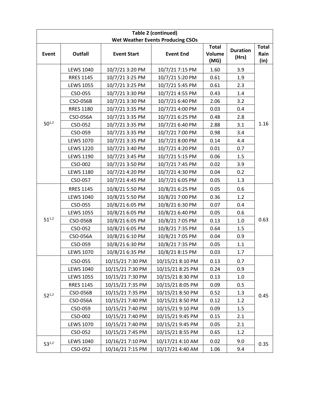|              |                  |                    | Table 2 (continued)                      |                                       |                          |                              |
|--------------|------------------|--------------------|------------------------------------------|---------------------------------------|--------------------------|------------------------------|
|              |                  |                    | <b>Wet Weather Events Producing CSOs</b> |                                       |                          |                              |
| <b>Event</b> | Outfall          | <b>Event Start</b> | <b>Event End</b>                         | <b>Total</b><br><b>Volume</b><br>(MG) | <b>Duration</b><br>(Hrs) | <b>Total</b><br>Rain<br>(in) |
|              | <b>LEWS 1040</b> | 10/7/21 3:20 PM    | 10/7/21 7:15 PM                          | 1.60                                  | 3.9                      |                              |
|              | <b>RRES 1145</b> | 10/7/21 3:25 PM    | 10/7/21 5:20 PM                          | 0.61                                  | 1.9                      |                              |
|              | <b>LEWS 1055</b> | 10/7/21 3:25 PM    | 10/7/21 5:45 PM                          | 0.61                                  | 2.3                      |                              |
|              | CSO-055          | 10/7/21 3:30 PM    | 10/7/21 4:55 PM                          | 0.43                                  | 1.4                      |                              |
|              | CSO-056B         | 10/7/21 3:30 PM    | 10/7/21 6:40 PM                          | 2.06                                  | 3.2                      |                              |
|              | <b>RRES 1180</b> | 10/7/21 3:35 PM    | 10/7/21 4:00 PM                          | 0.03                                  | 0.4                      |                              |
|              | CSO-056A         | 10/7/21 3:35 PM    | 10/7/21 6:25 PM                          | 0.48                                  | 2.8                      |                              |
| $50^{1,2}$   | CSO-052          | 10/7/21 3:35 PM    | 10/7/21 6:40 PM                          | 2.88                                  | 3.1                      | 1.16                         |
|              | CSO-059          | 10/7/21 3:35 PM    | 10/7/21 7:00 PM                          | 0.98                                  | 3.4                      |                              |
|              | <b>LEWS 1070</b> | 10/7/21 3:35 PM    | 10/7/21 8:00 PM                          | 0.14                                  | 4.4                      |                              |
|              | <b>LEWS 1220</b> | 10/7/21 3:40 PM    | 10/7/21 4:20 PM                          | 0.01                                  | 0.7                      |                              |
|              | <b>LEWS 1190</b> | 10/7/21 3:45 PM    | 10/7/21 5:15 PM                          | 0.06                                  | 1.5                      |                              |
|              | CSO-002          | 10/7/21 3:50 PM    | 10/7/21 7:45 PM                          | 0.02                                  | 3.9                      |                              |
|              | <b>LEWS 1180</b> | 10/7/21 4:20 PM    | 10/7/21 4:30 PM                          | 0.04                                  | 0.2                      |                              |
|              | CSO-057          | 10/7/21 4:45 PM    | 10/7/21 6:05 PM                          | 0.05                                  | 1.3                      |                              |
|              | <b>RRES 1145</b> | 10/8/21 5:50 PM    | 10/8/21 6:25 PM                          | 0.05                                  | 0.6                      |                              |
|              | <b>LEWS 1040</b> | 10/8/21 5:50 PM    | 10/8/21 7:00 PM                          | 0.36                                  | 1.2                      |                              |
|              | CSO-055          | 10/8/21 6:05 PM    | 10/8/21 6:30 PM                          | 0.07                                  | 0.4                      | 0.63                         |
|              | <b>LEWS 1055</b> | 10/8/21 6:05 PM    | 10/8/21 6:40 PM                          | 0.05                                  | 0.6                      |                              |
| $51^{1,2}$   | CSO-056B         | 10/8/21 6:05 PM    | 10/8/21 7:05 PM                          | 0.13                                  | 1.0                      |                              |
|              | CSO-052          | 10/8/21 6:05 PM    | 10/8/21 7:35 PM                          | 0.64                                  | 1.5                      |                              |
|              | CSO-056A         | 10/8/21 6:10 PM    | 10/8/21 7:05 PM                          | 0.04                                  | 0.9                      |                              |
|              | CSO-059          | 10/8/21 6:30 PM    | 10/8/21 7:35 PM                          | 0.05                                  | 1.1                      |                              |
|              | <b>LEWS 1070</b> | 10/8/21 6:35 PM    | 10/8/21 8:15 PM                          | 0.03                                  | 1.7                      |                              |
|              | CSO-055          | 10/15/21 7:30 PM   | 10/15/21 8:10 PM                         | 0.13                                  | 0.7                      |                              |
|              | <b>LEWS 1040</b> | 10/15/21 7:30 PM   | 10/15/21 8:25 PM                         | 0.24                                  | 0.9                      |                              |
|              | <b>LEWS 1055</b> | 10/15/21 7:30 PM   | 10/15/21 8:30 PM                         | 0.13                                  | 1.0                      |                              |
|              | <b>RRES 1145</b> | 10/15/21 7:35 PM   | 10/15/21 8:05 PM                         | 0.09                                  | 0.5                      |                              |
| $52^{1,2}$   | CSO-056B         | 10/15/21 7:35 PM   | 10/15/21 8:50 PM                         | 0.52                                  | 1.3                      | 0.45                         |
|              | CSO-056A         | 10/15/21 7:40 PM   | 10/15/21 8:50 PM                         | 0.12                                  | 1.2                      |                              |
|              | CSO-059          | 10/15/21 7:40 PM   | 10/15/21 9:10 PM                         | 0.09                                  | 1.5                      |                              |
|              | CSO-002          | 10/15/21 7:40 PM   | 10/15/21 9:45 PM                         | 0.15                                  | 2.1                      |                              |
|              | <b>LEWS 1070</b> | 10/15/21 7:40 PM   | 10/15/21 9:45 PM                         | 0.05                                  | 2.1                      |                              |
|              | CSO-052          | 10/15/21 7:45 PM   | 10/15/21 8:55 PM                         | 0.65                                  | 1.2                      |                              |
| $53^{1,2}$   | <b>LEWS 1040</b> | 10/16/21 7:10 PM   | 10/17/21 4:10 AM                         | 0.02                                  | 9.0                      | 0.35                         |
|              | CSO-052          | 10/16/21 7:15 PM   | 10/17/21 4:40 AM                         | 1.06                                  | 9.4                      |                              |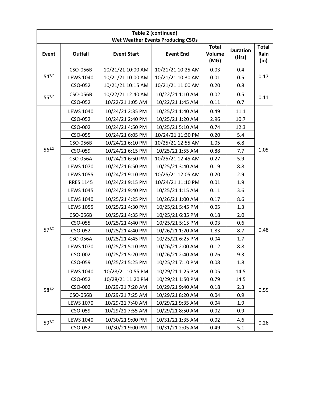| <b>Table 2 (continued)</b>               |                  |                    |                   |                                       |                          |                              |  |  |
|------------------------------------------|------------------|--------------------|-------------------|---------------------------------------|--------------------------|------------------------------|--|--|
| <b>Wet Weather Events Producing CSOs</b> |                  |                    |                   |                                       |                          |                              |  |  |
| Event                                    | <b>Outfall</b>   | <b>Event Start</b> | <b>Event End</b>  | <b>Total</b><br><b>Volume</b><br>(MG) | <b>Duration</b><br>(Hrs) | <b>Total</b><br>Rain<br>(in) |  |  |
| $54^{1,2}$                               | CSO-056B         | 10/21/21 10:00 AM  | 10/21/21 10:25 AM | 0.03                                  | 0.4                      | 0.17                         |  |  |
|                                          | <b>LEWS 1040</b> | 10/21/21 10:00 AM  | 10/21/21 10:30 AM | 0.01                                  | 0.5                      |                              |  |  |
|                                          | CSO-052          | 10/21/21 10:15 AM  | 10/21/21 11:00 AM | 0.20                                  | 0.8                      |                              |  |  |
| $55^{1,2}$                               | CSO-056B         | 10/22/21 12:40 AM  | 10/22/21 1:10 AM  | 0.02                                  | 0.5                      | 0.11                         |  |  |
|                                          | CSO-052          | 10/22/21 1:05 AM   | 10/22/21 1:45 AM  | 0.11                                  | 0.7                      |                              |  |  |
|                                          | <b>LEWS 1040</b> | 10/24/21 2:35 PM   | 10/25/21 1:40 AM  | 0.49                                  | 11.1                     | 1.05                         |  |  |
|                                          | CSO-052          | 10/24/21 2:40 PM   | 10/25/21 1:20 AM  | 2.96                                  | 10.7                     |                              |  |  |
|                                          | CSO-002          | 10/24/21 4:50 PM   | 10/25/21 5:10 AM  | 0.74                                  | 12.3                     |                              |  |  |
|                                          | CSO-055          | 10/24/21 6:05 PM   | 10/24/21 11:30 PM | 0.20                                  | 5.4                      |                              |  |  |
|                                          | <b>CSO-056B</b>  | 10/24/21 6:10 PM   | 10/25/21 12:55 AM | 1.05                                  | 6.8                      |                              |  |  |
| $56^{1,2}$                               | CSO-059          | 10/24/21 6:15 PM   | 10/25/21 1:55 AM  | 0.88                                  | 7.7                      |                              |  |  |
|                                          | CSO-056A         | 10/24/21 6:50 PM   | 10/25/21 12:45 AM | 0.27                                  | 5.9                      |                              |  |  |
|                                          | <b>LEWS 1070</b> | 10/24/21 6:50 PM   | 10/25/21 3:40 AM  | 0.19                                  | 8.8                      |                              |  |  |
|                                          | <b>LEWS 1055</b> | 10/24/21 9:10 PM   | 10/25/21 12:05 AM | 0.20                                  | 2.9                      |                              |  |  |
|                                          | <b>RRES 1145</b> | 10/24/21 9:15 PM   | 10/24/21 11:10 PM | 0.01                                  | 1.9                      |                              |  |  |
|                                          | <b>LEWS 1045</b> | 10/24/21 9:40 PM   | 10/25/21 1:15 AM  | 0.11                                  | 3.6                      |                              |  |  |
|                                          | <b>LEWS 1040</b> | 10/25/21 4:25 PM   | 10/26/21 1:00 AM  | 0.17                                  | 8.6                      | 0.48                         |  |  |
|                                          | <b>LEWS 1055</b> | 10/25/21 4:30 PM   | 10/25/21 5:45 PM  | 0.05                                  | 1.3                      |                              |  |  |
|                                          | CSO-056B         | 10/25/21 4:35 PM   | 10/25/21 6:35 PM  | 0.18                                  | 2.0                      |                              |  |  |
|                                          | CSO-055          | 10/25/21 4:40 PM   | 10/25/21 5:15 PM  | 0.03                                  | 0.6                      |                              |  |  |
| $57^{1,2}$                               | CSO-052          | 10/25/21 4:40 PM   | 10/26/21 1:20 AM  | 1.83                                  | 8.7                      |                              |  |  |
|                                          | CSO-056A         | 10/25/21 4:45 PM   | 10/25/21 6:25 PM  | 0.04                                  | 1.7                      |                              |  |  |
|                                          | <b>LEWS 1070</b> | 10/25/21 5:10 PM   | 10/26/21 2:00 AM  | 0.12                                  | 8.8                      |                              |  |  |
|                                          | CSO-002          | 10/25/21 5:20 PM   | 10/26/21 2:40 AM  | 0.76                                  | 9.3                      |                              |  |  |
|                                          | CSO-059          | 10/25/21 5:25 PM   | 10/25/21 7:10 PM  | 0.08                                  | 1.8                      |                              |  |  |
| $58^{1,2}$                               | <b>LEWS 1040</b> | 10/28/21 10:55 PM  | 10/29/21 1:25 PM  | 0.05                                  | 14.5                     | 0.55                         |  |  |
|                                          | CSO-052          | 10/28/21 11:20 PM  | 10/29/21 1:50 PM  | 0.79                                  | 14.5                     |                              |  |  |
|                                          | CSO-002          | 10/29/21 7:20 AM   | 10/29/21 9:40 AM  | 0.18                                  | 2.3                      |                              |  |  |
|                                          | CSO-056B         | 10/29/21 7:25 AM   | 10/29/21 8:20 AM  | 0.04                                  | 0.9                      |                              |  |  |
|                                          | <b>LEWS 1070</b> | 10/29/21 7:40 AM   | 10/29/21 9:35 AM  | 0.04                                  | 1.9                      |                              |  |  |
|                                          | CSO-059          | 10/29/21 7:55 AM   | 10/29/21 8:50 AM  | 0.02                                  | 0.9                      |                              |  |  |
| $59^{1,2}$                               | <b>LEWS 1040</b> | 10/30/21 9:00 PM   | 10/31/21 1:35 AM  | 0.02                                  | 4.6                      | 0.26                         |  |  |
|                                          | CSO-052          | 10/30/21 9:00 PM   | 10/31/21 2:05 AM  | 0.49                                  | 5.1                      |                              |  |  |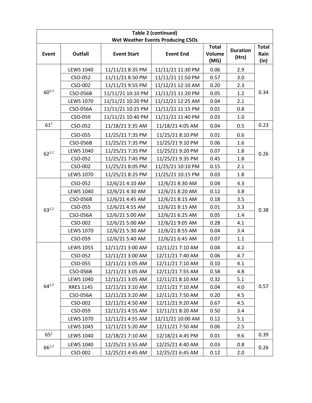| Table 2 (continued)                      |                  |                    |                   |                                |                          |                              |  |  |
|------------------------------------------|------------------|--------------------|-------------------|--------------------------------|--------------------------|------------------------------|--|--|
| <b>Wet Weather Events Producing CSOs</b> |                  |                    |                   |                                |                          |                              |  |  |
| Event                                    | <b>Outfall</b>   | <b>Event Start</b> | <b>Event End</b>  | <b>Total</b><br>Volume<br>(MG) | <b>Duration</b><br>(Hrs) | <b>Total</b><br>Rain<br>(in) |  |  |
| $60^{1,2}$                               | <b>LEWS 1040</b> | 11/11/21 8:35 PM   | 11/11/21 11:30 PM | 0.06                           | 2.9                      | 0.34                         |  |  |
|                                          | CSO-052          | 11/11/21 8:50 PM   | 11/11/21 11:50 PM | 0.57                           | 3.0                      |                              |  |  |
|                                          | CSO-002          | 11/11/21 9:55 PM   | 11/12/21 12:10 AM | 0.20                           | 2.3                      |                              |  |  |
|                                          | CSO-056B         | 11/11/21 10:10 PM  | 11/11/21 11:20 PM | 0.05                           | 1.2                      |                              |  |  |
|                                          | <b>LEWS 1070</b> | 11/11/21 10:20 PM  | 11/12/21 12:25 AM | 0.04                           | 2.1                      |                              |  |  |
|                                          | CSO-056A         | 11/11/21 10:25 PM  | 11/11/21 11:15 PM | 0.01                           | 0.8                      |                              |  |  |
|                                          | CSO-059          | 11/11/21 10:40 PM  | 11/11/21 11:40 PM | 0.03                           | 1.0                      |                              |  |  |
| 61 <sup>2</sup>                          | CSO-052          | 11/18/21 3:35 AM   | 11/18/21 4:05 AM  | 0.04                           | 0.5                      | 0.23                         |  |  |
|                                          | CSO-055          | 11/25/21 7:35 PM   | 11/25/21 8:10 PM  | 0.01                           | 0.6                      | 0.26                         |  |  |
|                                          | <b>CSO-056B</b>  | 11/25/21 7:35 PM   | 11/25/21 9:10 PM  | 0.06                           | 1.6                      |                              |  |  |
| $62^{1,2}$                               | <b>LEWS 1040</b> | 11/25/21 7:35 PM   | 11/25/21 9:20 PM  | 0.07                           | 1.8                      |                              |  |  |
|                                          | CSO-052          | 11/25/21 7:45 PM   | 11/25/21 9:35 PM  | 0.45                           | 1.8                      |                              |  |  |
|                                          | CSO-002          | 11/25/21 8:05 PM   | 11/25/21 10:10 PM | 0.15                           | 2.1                      |                              |  |  |
|                                          | <b>LEWS 1070</b> | 11/25/21 8:25 PM   | 11/25/21 10:15 PM | 0.03                           | 1.8                      |                              |  |  |
|                                          | CSO-052          | 12/6/21 4:10 AM    | 12/6/21 8:30 AM   | 0.04                           | 4.3                      | 0.38                         |  |  |
|                                          | <b>LEWS 1040</b> | 12/6/21 4:30 AM    | 12/6/21 8:20 AM   | 0.12                           | 3.8                      |                              |  |  |
|                                          | CSO-056B         | 12/6/21 4:45 AM    | 12/6/21 8:15 AM   | 0.18                           | 3.5                      |                              |  |  |
| $63^{1,2}$                               | CSO-055          | 12/6/21 4:55 AM    | 12/6/21 8:15 AM   | 0.01                           | 3.3                      |                              |  |  |
|                                          | CSO-056A         | 12/6/21 5:00 AM    | 12/6/21 6:25 AM   | 0.05                           | 1.4                      |                              |  |  |
|                                          | CSO-002          | 12/6/21 5:00 AM    | 12/6/21 9:05 AM   | 0.28                           | 4.1                      |                              |  |  |
|                                          | <b>LEWS 1070</b> | 12/6/21 5:30 AM    | 12/6/21 8:55 AM   | 0.04                           | 3.4                      |                              |  |  |
|                                          | CSO-059          | 12/6/21 5:40 AM    | 12/6/21 6:45 AM   | 0.07                           | 1.1                      |                              |  |  |
|                                          | <b>LEWS 1055</b> | 12/11/21 3:00 AM   | 12/11/21 7:10 AM  | 0.04                           | 4.2                      | 0.57                         |  |  |
|                                          | CSO-052          | 12/11/21 3:00 AM   | 12/11/21 7:40 AM  | 0.06                           | 4.7                      |                              |  |  |
|                                          | CSO-055          | 12/11/21 3:05 AM   | 12/11/21 7:10 AM  | 0.10                           | 4.1                      |                              |  |  |
|                                          | CSO-056B         | 12/11/21 3:05 AM   | 12/11/21 7:55 AM  | 0.58                           | 4.8                      |                              |  |  |
|                                          | <b>LEWS 1040</b> | 12/11/21 3:05 AM   | 12/11/21 8:10 AM  | 0.32                           | 5.1                      |                              |  |  |
| $64^{1,2}$                               | <b>RRES 1145</b> | 12/11/21 3:10 AM   | 12/11/21 7:10 AM  | 0.04                           | 4.0                      |                              |  |  |
|                                          | CSO-056A         | 12/11/21 3:20 AM   | 12/11/21 7:50 AM  | 0.20                           | 4.5                      |                              |  |  |
|                                          | CSO-002          | 12/11/21 4:50 AM   | 12/11/21 9:20 AM  | 0.67                           | 4.5                      |                              |  |  |
|                                          | CSO-059          | 12/11/21 4:55 AM   | 12/11/21 8:20 AM  | 0.50                           | 3.4                      |                              |  |  |
|                                          | <b>LEWS 1070</b> | 12/11/21 4:55 AM   | 12/11/21 10:00 AM | 0.12                           | 5.1                      |                              |  |  |
|                                          | <b>LEWS 1045</b> | 12/11/21 5:20 AM   | 12/11/21 7:50 AM  | 0.06                           | 2.5                      |                              |  |  |
| $65^{1}$                                 | <b>LEWS 1040</b> | 12/18/21 7:10 AM   | 12/18/21 4:45 PM  | 0.01                           | 9.6                      | 0.39                         |  |  |
| $66^{1,2}$                               | <b>LEWS 1040</b> | 12/25/21 3:55 AM   | 12/25/21 4:40 AM  | 0.03                           | 0.8                      | 0.26                         |  |  |
|                                          | CSO-002          | 12/25/21 4:45 AM   | 12/25/21 6:45 AM  | 0.12                           | 2.0                      |                              |  |  |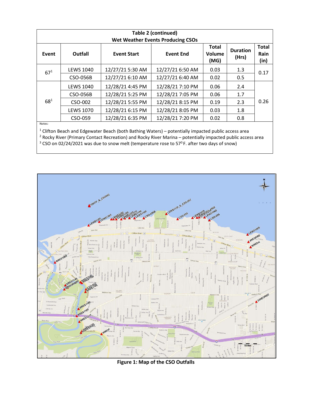| <b>Table 2 (continued)</b><br><b>Wet Weather Events Producing CSOs</b> |                  |                    |                  |                                |                          |                              |
|------------------------------------------------------------------------|------------------|--------------------|------------------|--------------------------------|--------------------------|------------------------------|
| Event                                                                  | Outfall          | <b>Event Start</b> | <b>Event End</b> | <b>Total</b><br>Volume<br>(MG) | <b>Duration</b><br>(Hrs) | <b>Total</b><br>Rain<br>(in) |
| $67^{1}$                                                               | <b>LEWS 1040</b> | 12/27/21 5:30 AM   | 12/27/21 6:50 AM | 0.03                           | 1.3                      | 0.17                         |
|                                                                        | CSO-056B         | 12/27/21 6:10 AM   | 12/27/21 6:40 AM | 0.02                           | 0.5                      |                              |
| $68^{1}$<br>$8.1 - 4.1 - 1.$                                           | <b>LEWS 1040</b> | 12/28/21 4:45 PM   | 12/28/21 7:10 PM | 0.06                           | 2.4                      | 0.26                         |
|                                                                        | CSO-056B         | 12/28/21 5:25 PM   | 12/28/21 7:05 PM | 0.06                           | 1.7                      |                              |
|                                                                        | CSO-002          | 12/28/21 5:55 PM   | 12/28/21 8:15 PM | 0.19                           | 2.3                      |                              |
|                                                                        | <b>LEWS 1070</b> | 12/28/21 6:15 PM   | 12/28/21 8:05 PM | 0.03                           | 1.8                      |                              |
|                                                                        | CSO-059          | 12/28/21 6:35 PM   | 12/28/21 7:20 PM | 0.02                           | 0.8                      |                              |

Notes:

 $^1$  Clifton Beach and Edgewater Beach (both Bathing Waters) – potentially impacted public access area

<sup>2</sup> Rocky River (Primary Contact Recreation) and Rocky River Marina – potentially impacted public access area

 $3$  CSO on 02/24/2021 was due to snow melt (temperature rose to 57<sup>0</sup> F. after two days of snow)



**Figure 1: Map of the CSO Outfalls**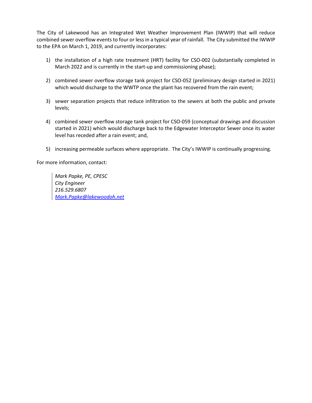The City of Lakewood has an Integrated Wet Weather Improvement Plan (IWWIP) that will reduce combined sewer overflow events to four or less in a typical year of rainfall. The City submitted the IWWIP to the EPA on March 1, 2019, and currently incorporates:

- 1) the installation of a high rate treatment (HRT) facility for CSO-002 (substantially completed in March 2022 and is currently in the start-up and commissioning phase);
- 2) combined sewer overflow storage tank project for CSO-052 (preliminary design started in 2021) which would discharge to the WWTP once the plant has recovered from the rain event;
- 3) sewer separation projects that reduce infiltration to the sewers at both the public and private levels;
- 4) combined sewer overflow storage tank project for CSO-059 (conceptual drawings and discussion started in 2021) which would discharge back to the Edgewater Interceptor Sewer once its water level has receded after a rain event; and,
- 5) increasing permeable surfaces where appropriate. The City's IWWIP is continually progressing.

For more information, contact:

*Mark Papke, PE, CPESC City Engineer 216.529.6807 [Mark.Papke@lakewoodoh.net](mailto:Mark.Papke@lakewoodoh.net)*